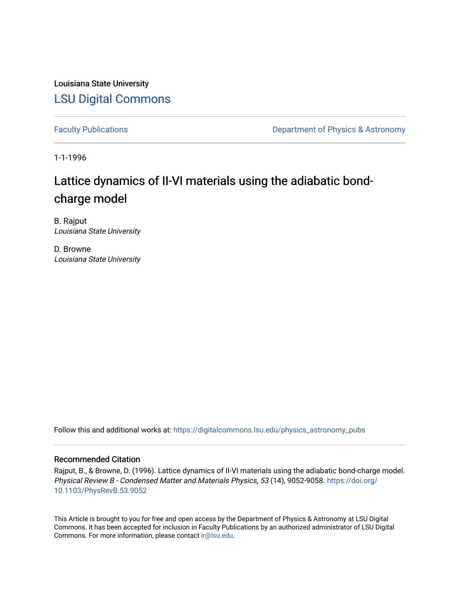Louisiana State University [LSU Digital Commons](https://digitalcommons.lsu.edu/)

[Faculty Publications](https://digitalcommons.lsu.edu/physics_astronomy_pubs) **Exercise 2 and Table 2 and Table 2 and Table 2 and Table 2 and Table 2 and Table 2 and Table 2 and Table 2 and Table 2 and Table 2 and Table 2 and Table 2 and Table 2 and Table 2 and Table 2 and Table** 

1-1-1996

## Lattice dynamics of II-VI materials using the adiabatic bondcharge model

B. Rajput Louisiana State University

D. Browne Louisiana State University

Follow this and additional works at: [https://digitalcommons.lsu.edu/physics\\_astronomy\\_pubs](https://digitalcommons.lsu.edu/physics_astronomy_pubs?utm_source=digitalcommons.lsu.edu%2Fphysics_astronomy_pubs%2F523&utm_medium=PDF&utm_campaign=PDFCoverPages) 

## Recommended Citation

Rajput, B., & Browne, D. (1996). Lattice dynamics of II-VI materials using the adiabatic bond-charge model. Physical Review B - Condensed Matter and Materials Physics, 53 (14), 9052-9058. [https://doi.org/](https://doi.org/10.1103/PhysRevB.53.9052) [10.1103/PhysRevB.53.9052](https://doi.org/10.1103/PhysRevB.53.9052) 

This Article is brought to you for free and open access by the Department of Physics & Astronomy at LSU Digital Commons. It has been accepted for inclusion in Faculty Publications by an authorized administrator of LSU Digital Commons. For more information, please contact [ir@lsu.edu](mailto:ir@lsu.edu).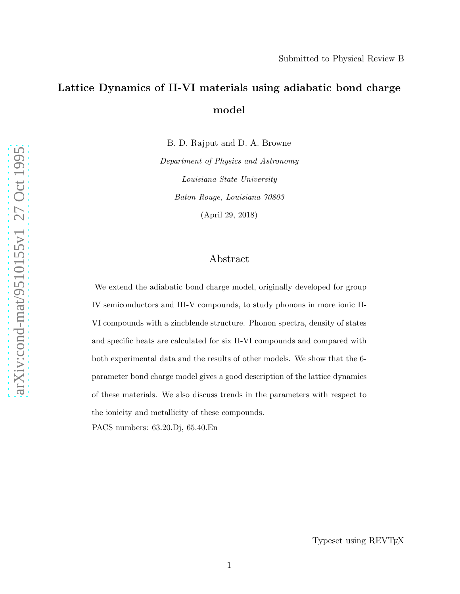# Lattice Dynamics of II-VI materials using adiabatic bond charge model

B. D. Rajput and D. A. Browne

Department of Physics and Astronomy Louisiana State University Baton Rouge, Louisiana 70803 (April 29, 2018)

Abstract

We extend the adiabatic bond charge model, originally developed for group IV semiconductors and III-V compounds, to study phonons in more ionic II-VI compounds with a zincblende structure. Phonon spectra, density of states and specific heats are calculated for six II-VI compounds and compared with both experimental data and the results of other models. We show that the 6 parameter bond charge model gives a good description of the lattice dynamics of these materials. We also discuss trends in the parameters with respect to the ionicity and metallicity of these compounds.

PACS numbers: 63.20.Dj, 65.40.En

Typeset using REVTEX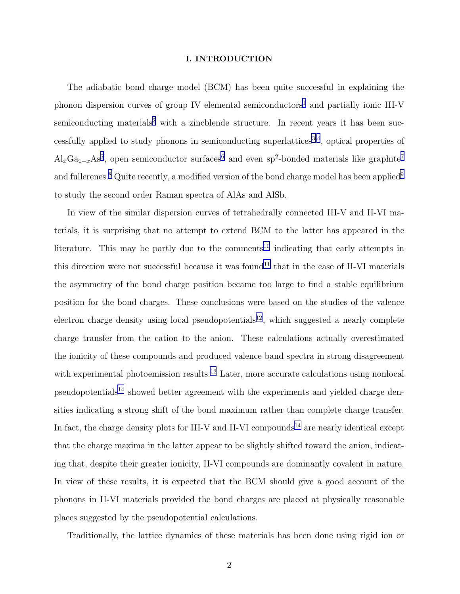#### I. INTRODUCTION

The adiabatic bond charge model (BCM) has been quite successful in explaining the phonon dispersion curves of group IV elemental semiconductors<sup>[1](#page-11-0)</sup> and partially ionic III-V semiconducting materials<sup>[2](#page-11-0)</sup> with a zincblende structure. In recent years it has been successfully applied to study phonons in semiconducting superlattices[3](#page-11-0),[4](#page-11-0) , optical properties of  $\text{Al}_x\text{Ga}_{1-x}\text{As}^5$  $\text{Al}_x\text{Ga}_{1-x}\text{As}^5$ , open semiconductor surfaces<sup>[6](#page-11-0)</sup> and even sp<sup>2</sup>-bonded materials like graphite<sup>[7](#page-11-0)</sup> and fullerenes.<sup>[8](#page-11-0)</sup> Quite recently, a modified version of the bond charge model has been applied<sup>[9](#page-11-0)</sup> to study the second order Raman spectra of AlAs and AlSb.

In view of the similar dispersion curves of tetrahedrally connected III-V and II-VI materials, it is surprising that no attempt to extend BCM to the latter has appeared in the literature. This may be partly due to the comments<sup>[10](#page-11-0)</sup> indicating that early attempts in this direction were not successful because it was found<sup>[11](#page-11-0)</sup> that in the case of II-VI materials the asymmetry of the bond charge position became too large to find a stable equilibrium position for the bond charges. These conclusions were based on the studies of the valence electron charge density using local pseudopotentials<sup>[12](#page-11-0)</sup>, which suggested a nearly complete charge transfer from the cation to the anion. These calculations actually overestimated the ionicity of these compounds and produced valence band spectra in strong disagreement with experimental photoemission results.<sup>[13](#page-11-0)</sup> Later, more accurate calculations using nonlocal pseudopotentials<sup>[14](#page-11-0)</sup> showed better agreement with the experiments and yielded charge densities indicating a strong shift of the bond maximum rather than complete charge transfer. In fact, the charge density plots for III-V and II-VI compounds<sup>[14](#page-11-0)</sup> are nearly identical except that the charge maxima in the latter appear to be slightly shifted toward the anion, indicating that, despite their greater ionicity, II-VI compounds are dominantly covalent in nature. In view of these results, it is expected that the BCM should give a good account of the phonons in II-VI materials provided the bond charges are placed at physically reasonable places suggested by the pseudopotential calculations.

Traditionally, the lattice dynamics of these materials has been done using rigid ion or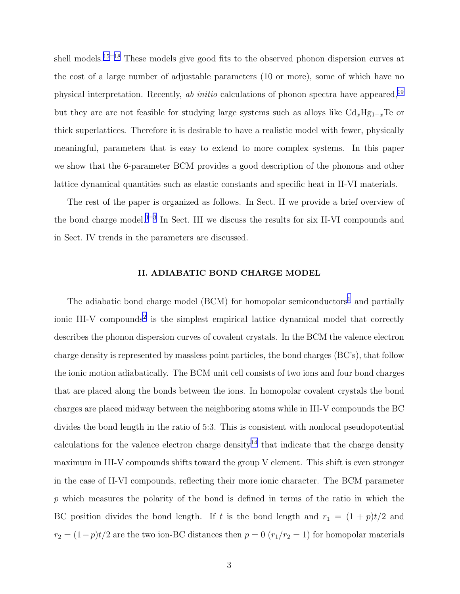shell models.[15](#page-11-0)–[18](#page-11-0) These models give good fits to the observed phonon dispersion curves at the cost of a large number of adjustable parameters (10 or more), some of which have no physical interpretation. Recently, ab initio calculations of phonon spectra have appeared,<sup>[19](#page-12-0)</sup> but they are are not feasible for studying large systems such as alloys like  $Cd_xHg_{1-x}Te$  or thick superlattices. Therefore it is desirable to have a realistic model with fewer, physically meaningful, parameters that is easy to extend to more complex systems. In this paper we show that the 6-parameter BCM provides a good description of the phonons and other lattice dynamical quantities such as elastic constants and specific heat in II-VI materials.

The rest of the paper is organized as follows. In Sect. II we provide a brief overview of the bond charge model.<sup>[1](#page-11-0)–[3](#page-11-0)</sup> In Sect. III we discuss the results for six II-VI compounds and in Sect. IV trends in the parameters are discussed.

#### II. ADIABATIC BOND CHARGE MODEL

The adiabatic bond charge model (BCM) for homopolar semiconductors<sup>[1](#page-11-0)</sup> and partially ionic III-V compounds<sup>[2](#page-11-0)</sup> is the simplest empirical lattice dynamical model that correctly describes the phonon dispersion curves of covalent crystals. In the BCM the valence electron charge density is represented by massless point particles, the bond charges (BC's), that follow the ionic motion adiabatically. The BCM unit cell consists of two ions and four bond charges that are placed along the bonds between the ions. In homopolar covalent crystals the bond charges are placed midway between the neighboring atoms while in III-V compounds the BC divides the bond length in the ratio of 5:3. This is consistent with nonlocal pseudopotential calculations for the valence electron charge density<sup>[14](#page-11-0)</sup> that indicate that the charge density maximum in III-V compounds shifts toward the group V element. This shift is even stronger in the case of II-VI compounds, reflecting their more ionic character. The BCM parameter  $p$  which measures the polarity of the bond is defined in terms of the ratio in which the BC position divides the bond length. If t is the bond length and  $r_1 = (1 + p)t/2$  and  $r_2 = (1-p)t/2$  are the two ion-BC distances then  $p = 0$  ( $r_1/r_2 = 1$ ) for homopolar materials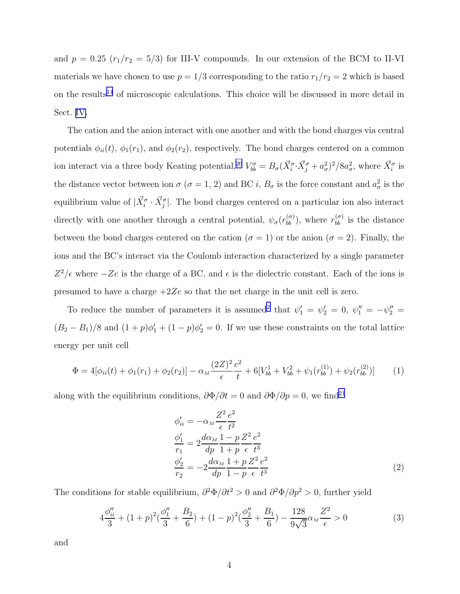<span id="page-4-0"></span>and  $p = 0.25$  ( $r_1/r_2 = 5/3$ ) for III-V compounds. In our extension of the BCM to II-VI materials we have chosen to use  $p = 1/3$  corresponding to the ratio  $r_1/r_2 = 2$  which is based on the results<sup>[14](#page-11-0)</sup> of microscopic calculations. This choice will be discussed in more detail in Sect. [IV.](#page-7-0)

The cation and the anion interact with one another and with the bond charges via central potentials  $\phi_{ii}(t)$ ,  $\phi_1(r_1)$ , and  $\phi_2(r_2)$ , respectively. The bond charges centered on a common ion interact via a three body Keating potential,<sup>[20](#page-12-0)</sup>  $V_{bb}^{\sigma} = B_{\sigma} (\vec{X}_i^{\sigma} \cdot \vec{X}_j^{\sigma} + a_{\sigma}^2)^2 / 8 a_{\sigma}^2$ , where  $\vec{X}_i^{\sigma}$  is the distance vector between ion  $\sigma$  ( $\sigma = 1, 2$ ) and BC *i*,  $B_{\sigma}$  is the force constant and  $a_{\sigma}^2$  is the equilibrium value of  $|\vec{X}_i^{\sigma} \cdot \vec{X}_j^{\sigma}|$ . The bond charges centered on a particular ion also interact directly with one another through a central potential,  $\psi_{\sigma}(r_{bb}^{(\sigma)})$ , where  $r_{bb}^{(\sigma)}$  is the distance between the bond charges centered on the cation ( $\sigma = 1$ ) or the anion ( $\sigma = 2$ ). Finally, the ions and the BC's interact via the Coulomb interaction characterized by a single parameter  $Z^2/\epsilon$  where  $-Ze$  is the charge of a BC, and  $\epsilon$  is the dielectric constant. Each of the ions is presumed to have a charge  $+2Ze$  so that the net charge in the unit cell is zero.

To reduce the number of parameters it is assumed<sup>[2](#page-11-0)</sup> that  $\psi'_1 = \psi'_2 = 0$ ,  $\psi''_1 = -\psi''_2 = 0$  $(B_2 - B_1)/8$  and  $(1 + p)\phi'_1 + (1 - p)\phi'_2 = 0$ . If we use these constraints on the total lattice energy per unit cell

$$
\Phi = 4[\phi_{ii}(t) + \phi_1(r_1) + \phi_2(r_2)] - \alpha_M \frac{(2Z)^2 e^2}{\epsilon} + 6[V_{bb}^1 + V_{bb}^2 + \psi_1(r_{bb}^{(1)}) + \psi_2(r_{bb}^{(2)})] \tag{1}
$$

along with the equilibrium conditions,  $\partial \Phi / \partial t = 0$  and  $\partial \Phi / \partial p = 0$ , we find<sup>[21](#page-12-0)</sup>

$$
\begin{aligned}\n\phi'_{ii} &= -\alpha_M \frac{Z^2 e^2}{\epsilon t^2} \\
\frac{\phi'_1}{r_1} &= 2 \frac{d\alpha_M}{dp} \frac{1 - p}{1 + p} \frac{Z^2 e^2}{\epsilon t^3} \\
\frac{\phi'_2}{r_2} &= -2 \frac{d\alpha_M}{dp} \frac{1 + p}{1 - p} \frac{Z^2 e^2}{\epsilon t^3}\n\end{aligned} \tag{2}
$$

The conditions for stable equilibrium,  $\partial^2 \Phi / \partial t^2 > 0$  and  $\partial^2 \Phi / \partial p^2 > 0$ , further yield

$$
4\frac{\phi_{ii}''}{3} + (1+p)^2(\frac{\phi_1''}{3} + \frac{B_2}{6}) + (1-p)^2(\frac{\phi_2''}{3} + \frac{B_1}{6}) - \frac{128}{9\sqrt{3}}\alpha_M \frac{Z^2}{\epsilon} > 0
$$
 (3)

and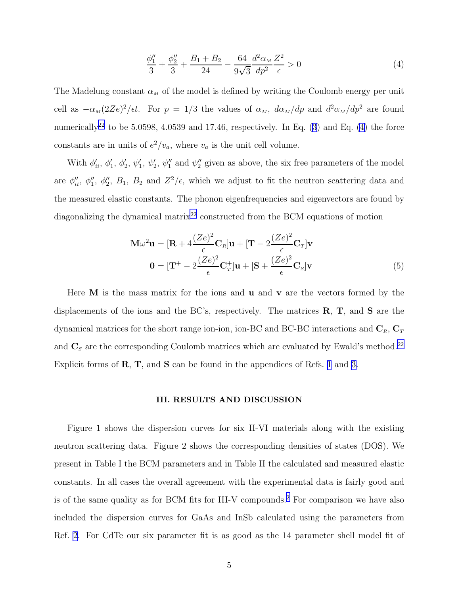$$
\frac{\phi_1''}{3} + \frac{\phi_2''}{3} + \frac{B_1 + B_2}{24} - \frac{64}{9\sqrt{3}} \frac{d^2 \alpha_M}{dp^2} \frac{Z^2}{\epsilon} > 0
$$
\n<sup>(4)</sup>

<span id="page-5-0"></span>The Madelung constant  $\alpha_M$  of the model is defined by writing the Coulomb energy per unit cell as  $-\alpha_M(2Ze)^2/\epsilon t$ . For  $p = 1/3$  the values of  $\alpha_M$ ,  $d\alpha_M/dp$  and  $d^2\alpha_M/dp^2$  are found numerically<sup>[22](#page-12-0)</sup> to be 5.0598, 4.0539 and 17.46, respectively. In Eq.  $(3)$  and Eq.  $(4)$  the force constants are in units of  $e^2/v_a$ , where  $v_a$  is the unit cell volume.

With  $\phi'_{ii}, \phi'_{i}$  $'_{1}, \phi'_{2}$  $'_{2}, \psi'_{1}$  $'_{1}, \psi'_{2}$  $'_{2}, \psi''_{1}$  $''_1$  and  $\psi''_2$  $y_2''$  given as above, the six free parameters of the model are  $\phi''_{ii}$ ,  $\phi''_1$  $''_1, \phi''_2$  $Z_2$ ,  $B_1$ ,  $B_2$  and  $Z^2/\epsilon$ , which we adjust to fit the neutron scattering data and the measured elastic constants. The phonon eigenfrequencies and eigenvectors are found by diagonalizing the dynamical matrix<sup>[22](#page-12-0)</sup> constructed from the BCM equations of motion

$$
\mathbf{M}\omega^2 \mathbf{u} = [\mathbf{R} + 4\frac{(Ze)^2}{\epsilon}\mathbf{C}_R]\mathbf{u} + [\mathbf{T} - 2\frac{(Ze)^2}{\epsilon}\mathbf{C}_T]\mathbf{v}
$$

$$
\mathbf{0} = [\mathbf{T}^+ - 2\frac{(Ze)^2}{\epsilon}\mathbf{C}_T^+]\mathbf{u} + [\mathbf{S} + \frac{(Ze)^2}{\epsilon}\mathbf{C}_S]\mathbf{v}
$$
(5)

Here  **is the mass matrix for the ions and <b>u** and **v** are the vectors formed by the displacements of the ions and the BC's, respectively. The matrices  $\mathbf{R}, \mathbf{T}$ , and  $\mathbf{S}$  are the dynamical matrices for the short range ion-ion, ion-BC and BC-BC interactions and  $\mathbf{C}_R$ ,  $\mathbf{C}_T$ and  $\mathbf{C}_\emph{s}$  are the corresponding Coulomb matrices which are evaluated by Ewald's method.<sup>[22](#page-12-0)</sup> Explicit forms of R, T, and S can be found in the appendices of Refs. [1](#page-11-0) and [3](#page-11-0).

#### III. RESULTS AND DISCUSSION

Figure 1 shows the dispersion curves for six II-VI materials along with the existing neutron scattering data. Figure 2 shows the corresponding densities of states (DOS). We present in Table I the BCM parameters and in Table II the calculated and measured elastic constants. In all cases the overall agreement with the experimental data is fairly good and is of the same quality as for BCM fits for III-V compounds.[2](#page-11-0) For comparison we have also included the dispersion curves for GaAs and InSb calculated using the parameters from Ref. [2](#page-11-0). For CdTe our six parameter fit is as good as the 14 parameter shell model fit of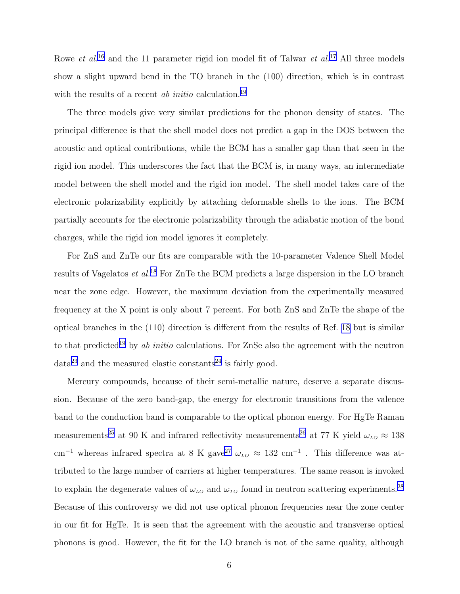Rowe et al.<sup>[16](#page-11-0)</sup> and the 11 parameter rigid ion model fit of Talwar et al.<sup>[17](#page-11-0)</sup> All three models show a slight upward bend in the TO branch in the (100) direction, which is in contrast with the results of a recent *ab initio* calculation.<sup>[19](#page-12-0)</sup>

The three models give very similar predictions for the phonon density of states. The principal difference is that the shell model does not predict a gap in the DOS between the acoustic and optical contributions, while the BCM has a smaller gap than that seen in the rigid ion model. This underscores the fact that the BCM is, in many ways, an intermediate model between the shell model and the rigid ion model. The shell model takes care of the electronic polarizability explicitly by attaching deformable shells to the ions. The BCM partially accounts for the electronic polarizability through the adiabatic motion of the bond charges, while the rigid ion model ignores it completely.

For ZnS and ZnTe our fits are comparable with the 10-parameter Valence Shell Model results of Vagelatos et al.[18](#page-11-0) For ZnTe the BCM predicts a large dispersion in the LO branch near the zone edge. However, the maximum deviation from the experimentally measured frequency at the X point is only about 7 percent. For both ZnS and ZnTe the shape of the optical branches in the (110) direction is different from the results of Ref. [18](#page-11-0) but is similar to that predicted<sup>[19](#page-12-0)</sup> by ab initio calculations. For ZnSe also the agreement with the neutron  $data^{23}$  $data^{23}$  $data^{23}$  and the measured elastic constants<sup>[24](#page-12-0)</sup> is fairly good.

Mercury compounds, because of their semi-metallic nature, deserve a separate discussion. Because of the zero band-gap, the energy for electronic transitions from the valence band to the conduction band is comparable to the optical phonon energy. For HgTe Raman measurements<sup>[25](#page-12-0)</sup> at 90 K and infrared reflectivity measurements<sup>[26](#page-12-0)</sup> at 77 K yield  $\omega_{LO} \approx 138$ cm<sup>-1</sup> whereas infrared spectra at 8 K gave<sup>[27](#page-12-0)</sup>  $\omega_{LO} \approx 132 \text{ cm}^{-1}$ . This difference was attributed to the large number of carriers at higher temperatures. The same reason is invoked to explain the degenerate values of  $\omega_{LO}$  and  $\omega_{TO}$  found in neutron scattering experiments.<sup>[28](#page-12-0)</sup> Because of this controversy we did not use optical phonon frequencies near the zone center in our fit for HgTe. It is seen that the agreement with the acoustic and transverse optical phonons is good. However, the fit for the LO branch is not of the same quality, although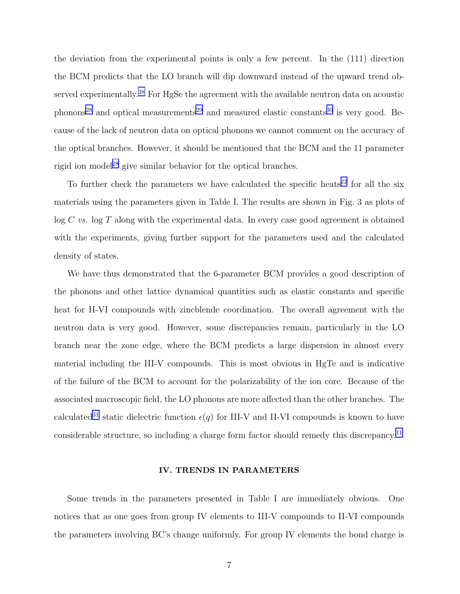<span id="page-7-0"></span>the deviation from the experimental points is only a few percent. In the (111) direction the BCM predicts that the LO branch will dip downward instead of the upward trend ob-served experimentally.<sup>[28](#page-12-0)</sup> For HgSe the agreement with the available neutron data on acoustic phonons<sup>[28](#page-12-0)</sup> and optical measurements<sup>[29](#page-12-0)</sup> and measured elastic constants<sup>[30](#page-12-0)</sup> is very good. Because of the lack of neutron data on optical phonons we cannot comment on the accuracy of the optical branches. However, it should be mentioned that the BCM and the 11 parameter rigid ion model<sup>[28](#page-12-0)</sup> give similar behavior for the optical branches.

To further check the parameters we have calculated the specific heats<sup>[22](#page-12-0)</sup> for all the six materials using the parameters given in Table I. The results are shown in Fig. 3 as plots of  $\log C$  vs.  $\log T$  along with the experimental data. In every case good agreement is obtained with the experiments, giving further support for the parameters used and the calculated density of states.

We have thus demonstrated that the 6-parameter BCM provides a good description of the phonons and other lattice dynamical quantities such as elastic constants and specific heat for II-VI compounds with zincblende coordination. The overall agreement with the neutron data is very good. However, some discrepancies remain, particularly in the LO branch near the zone edge, where the BCM predicts a large dispersion in almost every material including the III-V compounds. This is most obvious in HgTe and is indicative of the failure of the BCM to account for the polarizability of the ion core. Because of the associated macroscopic field, the LO phonons are more affected than the other branches. The calculated<sup>[31](#page-12-0)</sup> static dielectric function  $\epsilon(q)$  for III-V and II-VI compounds is known to have considerable structure, so including a charge form factor should remedy this discrepancy.[11](#page-11-0)

## IV. TRENDS IN PARAMETERS

Some trends in the parameters presented in Table I are immediately obvious. One notices that as one goes from group IV elements to III-V compounds to II-VI compounds the parameters involving BC's change uniformly. For group IV elements the bond charge is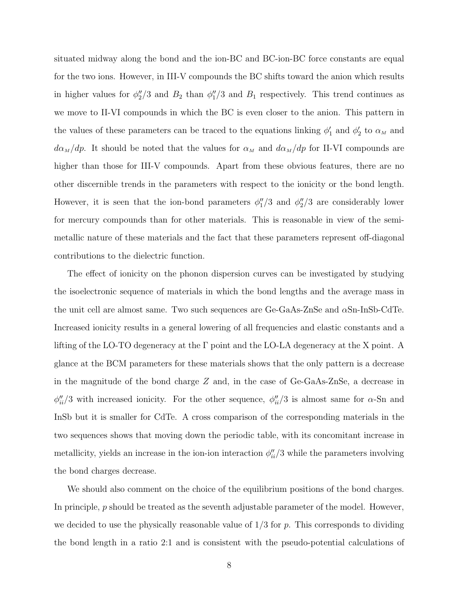situated midway along the bond and the ion-BC and BC-ion-BC force constants are equal for the two ions. However, in III-V compounds the BC shifts toward the anion which results in higher values for  $\phi_2''$  $\frac{\pi}{2}/3$  and  $B_2$  than  $\phi_1''$  $\binom{n}{1}$  and  $B_1$  respectively. This trend continues as we move to II-VI compounds in which the BC is even closer to the anion. This pattern in the values of these parameters can be traced to the equations linking  $\phi_1'$  $'_{1}$  and  $\phi'_{2}$  $'_{2}$  to  $\alpha_{M}$  and  $d\alpha_M/dp$ . It should be noted that the values for  $\alpha_M$  and  $d\alpha_M/dp$  for II-VI compounds are higher than those for III-V compounds. Apart from these obvious features, there are no other discernible trends in the parameters with respect to the ionicity or the bond length. However, it is seen that the ion-bond parameters  $\phi''_1$  $\frac{\pi}{1}/3$  and  $\phi_2''$  $\binom{n}{2}$  are considerably lower for mercury compounds than for other materials. This is reasonable in view of the semimetallic nature of these materials and the fact that these parameters represent off-diagonal contributions to the dielectric function.

The effect of ionicity on the phonon dispersion curves can be investigated by studying the isoelectronic sequence of materials in which the bond lengths and the average mass in the unit cell are almost same. Two such sequences are Ge-GaAs-ZnSe and  $\alpha$ Sn-InSb-CdTe. Increased ionicity results in a general lowering of all frequencies and elastic constants and a lifting of the LO-TO degeneracy at the Γ point and the LO-LA degeneracy at the X point. A glance at the BCM parameters for these materials shows that the only pattern is a decrease in the magnitude of the bond charge Z and, in the case of Ge-GaAs-ZnSe, a decrease in  $\phi''_{ii}/3$  with increased ionicity. For the other sequence,  $\phi''_{ii}/3$  is almost same for  $\alpha$ -Sn and InSb but it is smaller for CdTe. A cross comparison of the corresponding materials in the two sequences shows that moving down the periodic table, with its concomitant increase in metallicity, yields an increase in the ion-ion interaction  $\phi''_{ii}/3$  while the parameters involving the bond charges decrease.

We should also comment on the choice of the equilibrium positions of the bond charges. In principle, p should be treated as the seventh adjustable parameter of the model. However, we decided to use the physically reasonable value of  $1/3$  for p. This corresponds to dividing the bond length in a ratio 2:1 and is consistent with the pseudo-potential calculations of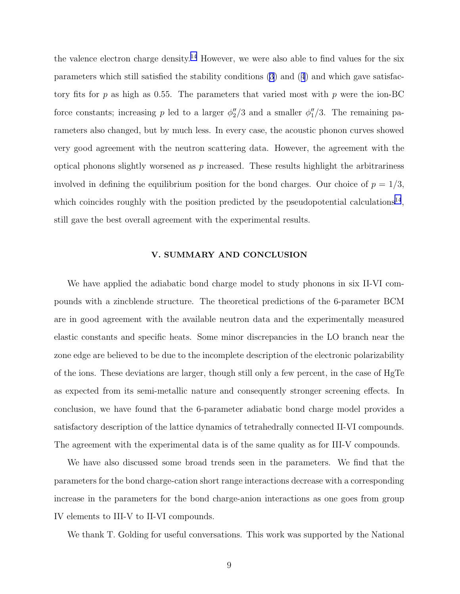the valence electron charge density.<sup>[14](#page-11-0)</sup> However, we were also able to find values for the six parameters which still satisfied the stability conditions [\(3](#page-4-0)) and([4](#page-5-0)) and which gave satisfactory fits for  $p$  as high as 0.55. The parameters that varied most with  $p$  were the ion-BC force constants; increasing p led to a larger  $\phi_2''/3$  and a smaller  $\phi_1''/3$ . The remaining parameters also changed, but by much less. In every case, the acoustic phonon curves showed very good agreement with the neutron scattering data. However, the agreement with the optical phonons slightly worsened as  $p$  increased. These results highlight the arbitrariness involved in defining the equilibrium position for the bond charges. Our choice of  $p = 1/3$ , which coincides roughly with the position predicted by the pseudopotential calculations<sup>[14](#page-11-0)</sup>, still gave the best overall agreement with the experimental results.

#### V. SUMMARY AND CONCLUSION

We have applied the adiabatic bond charge model to study phonons in six II-VI compounds with a zincblende structure. The theoretical predictions of the 6-parameter BCM are in good agreement with the available neutron data and the experimentally measured elastic constants and specific heats. Some minor discrepancies in the LO branch near the zone edge are believed to be due to the incomplete description of the electronic polarizability of the ions. These deviations are larger, though still only a few percent, in the case of HgTe as expected from its semi-metallic nature and consequently stronger screening effects. In conclusion, we have found that the 6-parameter adiabatic bond charge model provides a satisfactory description of the lattice dynamics of tetrahedrally connected II-VI compounds. The agreement with the experimental data is of the same quality as for III-V compounds.

We have also discussed some broad trends seen in the parameters. We find that the parameters for the bond charge-cation short range interactions decrease with a corresponding increase in the parameters for the bond charge-anion interactions as one goes from group IV elements to III-V to II-VI compounds.

We thank T. Golding for useful conversations. This work was supported by the National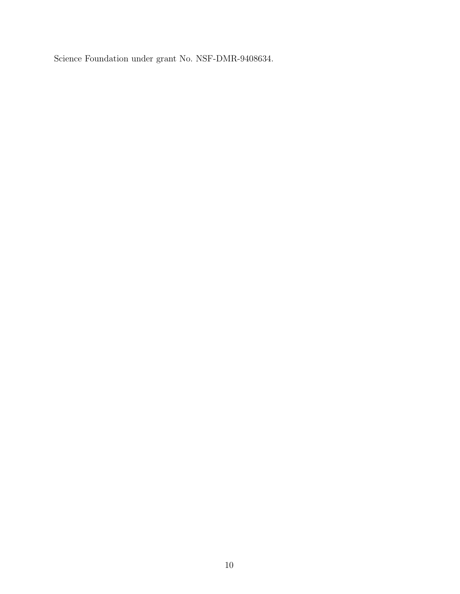Science Foundation under grant No. NSF-DMR-9408634.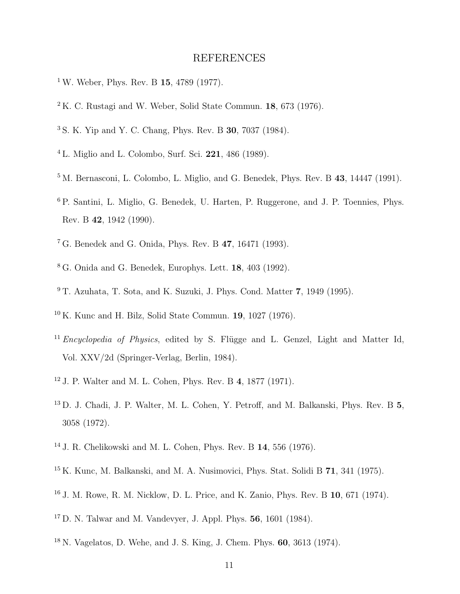## REFERENCES

- <span id="page-11-0"></span><sup>1</sup> W. Weber, Phys. Rev. B **15**, 4789 (1977).
- K. C. Rustagi and W. Weber, Solid State Commun. 18, 673 (1976).
- S. K. Yip and Y. C. Chang, Phys. Rev. B 30, 7037 (1984).
- L. Miglio and L. Colombo, Surf. Sci. 221, 486 (1989).
- M. Bernasconi, L. Colombo, L. Miglio, and G. Benedek, Phys. Rev. B 43, 14447 (1991).
- P. Santini, L. Miglio, G. Benedek, U. Harten, P. Ruggerone, and J. P. Toennies, Phys. Rev. B 42, 1942 (1990).
- G. Benedek and G. Onida, Phys. Rev. B 47, 16471 (1993).
- G. Onida and G. Benedek, Europhys. Lett. 18, 403 (1992).
- T. Azuhata, T. Sota, and K. Suzuki, J. Phys. Cond. Matter 7, 1949 (1995).
- K. Kunc and H. Bilz, Solid State Commun. 19, 1027 (1976).
- <sup>11</sup> Encyclopedia of Physics, edited by S. Flügge and L. Genzel, Light and Matter Id, Vol. XXV/2d (Springer-Verlag, Berlin, 1984).
- J. P. Walter and M. L. Cohen, Phys. Rev. B 4, 1877 (1971).
- D. J. Chadi, J. P. Walter, M. L. Cohen, Y. Petroff, and M. Balkanski, Phys. Rev. B 5, 3058 (1972).
- J. R. Chelikowski and M. L. Cohen, Phys. Rev. B 14, 556 (1976).
- K. Kunc, M. Balkanski, and M. A. Nusimovici, Phys. Stat. Solidi B 71, 341 (1975).
- J. M. Rowe, R. M. Nicklow, D. L. Price, and K. Zanio, Phys. Rev. B 10, 671 (1974).
- D. N. Talwar and M. Vandevyer, J. Appl. Phys.  $56$ ,  $1601$  (1984).
- N. Vagelatos, D. Wehe, and J. S. King, J. Chem. Phys. 60, 3613 (1974).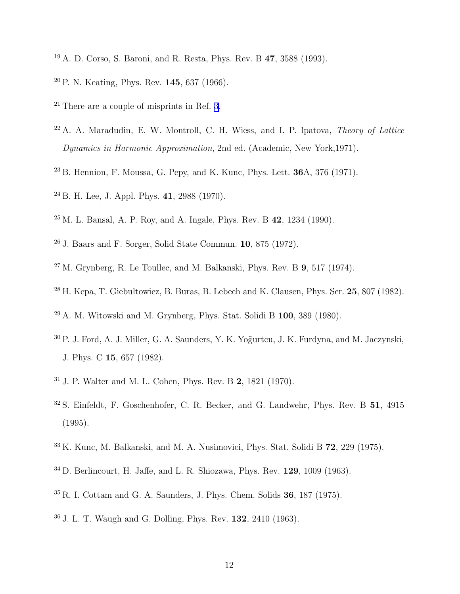- <span id="page-12-0"></span>A. D. Corso, S. Baroni, and R. Resta, Phys. Rev. B 47, 3588 (1993).
- P. N. Keating, Phys. Rev. 145, 637 (1966).
- There are a couple of misprints in Ref. [3.](#page-11-0)
- A. A. Maradudin, E. W. Montroll, C. H. Wiess, and I. P. Ipatova, Theory of Lattice Dynamics in Harmonic Approximation, 2nd ed. (Academic, New York,1971).
- B. Hennion, F. Moussa, G. Pepy, and K. Kunc, Phys. Lett. **36**A, 376 (1971).
- B. H. Lee, J. Appl. Phys. 41, 2988 (1970).
- M. L. Bansal, A. P. Roy, and A. Ingale, Phys. Rev. B 42, 1234 (1990).
- J. Baars and F. Sorger, Solid State Commun. 10, 875 (1972).
- M. Grynberg, R. Le Toullec, and M. Balkanski, Phys. Rev. B 9, 517 (1974).
- H. Kepa, T. Giebultowicz, B. Buras, B. Lebech and K. Clausen, Phys. Scr. 25, 807 (1982).
- A. M. Witowski and M. Grynberg, Phys. Stat. Solidi B 100, 389 (1980).
- <sup>30</sup> P. J. Ford, A. J. Miller, G. A. Saunders, Y. K. Yoğurtcu, J. K. Furdyna, and M. Jaczynski, J. Phys. C 15, 657 (1982).
- J. P. Walter and M. L. Cohen, Phys. Rev. B 2, 1821 (1970).
- S. Einfeldt, F. Goschenhofer, C. R. Becker, and G. Landwehr, Phys. Rev. B 51, 4915 (1995).
- K. Kunc, M. Balkanski, and M. A. Nusimovici, Phys. Stat. Solidi B 72, 229 (1975).
- D. Berlincourt, H. Jaffe, and L. R. Shiozawa, Phys. Rev.  $129$ ,  $1009$  (1963).
- R. I. Cottam and G. A. Saunders, J. Phys. Chem. Solids **36**, 187 (1975).
- J. L. T. Waugh and G. Dolling, Phys. Rev. 132, 2410 (1963).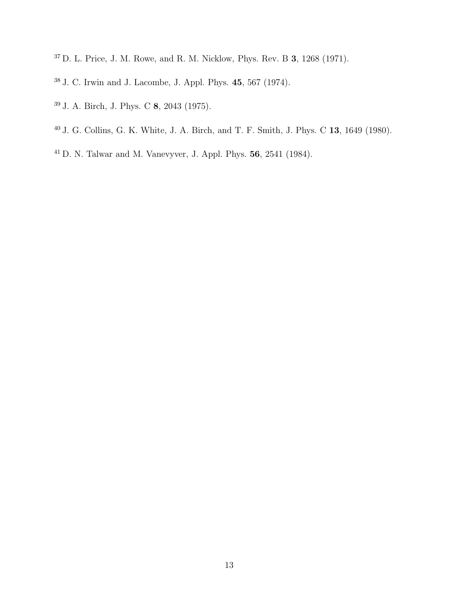- <span id="page-13-0"></span>D. L. Price, J. M. Rowe, and R. M. Nicklow, Phys. Rev. B 3, 1268 (1971).
- J. C. Irwin and J. Lacombe, J. Appl. Phys. 45, 567 (1974).
- J. A. Birch, J. Phys. C 8, 2043 (1975).
- J. G. Collins, G. K. White, J. A. Birch, and T. F. Smith, J. Phys. C 13, 1649 (1980).
- D. N. Talwar and M. Vanevyver, J. Appl. Phys. 56, 2541 (1984).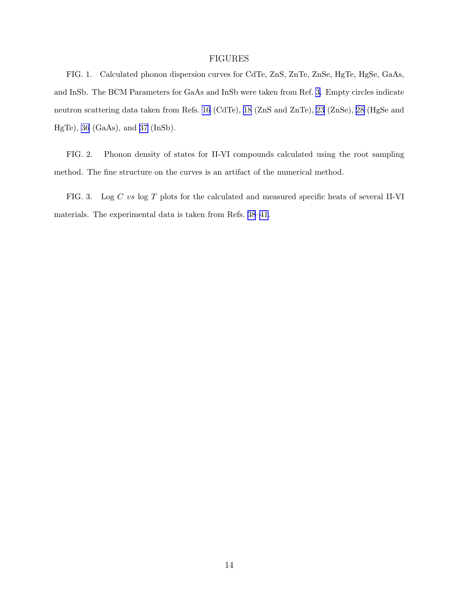## FIGURES

FIG. 1. Calculated phonon dispersion curves for CdTe, ZnS, ZnTe, ZnSe, HgTe, HgSe, GaAs, and InSb. The BCM Parameters for GaAs and InSb were taken from Ref. [3.](#page-11-0) Empty circles indicate neutron scattering data taken from Refs. [16](#page-11-0) (CdTe), [18](#page-11-0) (ZnS and ZnTe), [23](#page-12-0) (ZnSe), [28](#page-12-0) (HgSe and HgTe), [36](#page-12-0) (GaAs), and [37](#page-12-0) (InSb).

FIG. 2. Phonon density of states for II-VI compounds calculated using the root sampling method. The fine structure on the curves is an artifact of the numerical method.

FIG. 3. Log C vs log T plots for the calculated and measured specific heats of several II-VI materials. The experimental data is taken from Refs. [38](#page-13-0)–[41.](#page-13-0)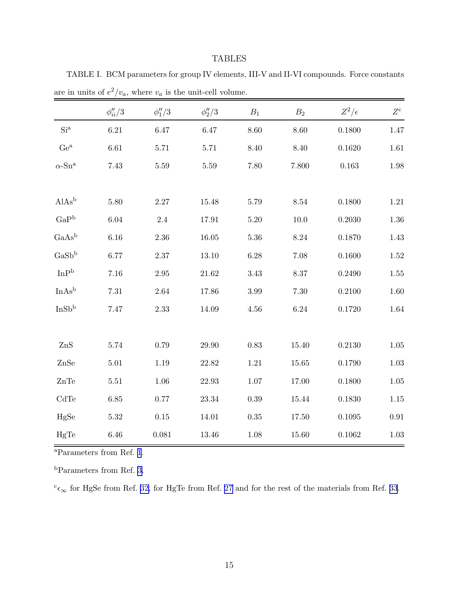## TABLES

TABLE I. BCM parameters for group IV elements, III-V and II-VI compounds. Force constants are in units of  $e^2/v_a$ , where  $v_a$  is the unit-cell volume.

|                               | $\phi''_{ii}/3$ | $\phi_1''/3$ | $\phi_2''/3$ | $B_1$    | B <sub>2</sub> | $Z^2/\epsilon$ | $Z^{\rm c}$ |
|-------------------------------|-----------------|--------------|--------------|----------|----------------|----------------|-------------|
| Si <sup>a</sup>               | 6.21            | 6.47         | 6.47         | 8.60     | 8.60           | 0.1800         | 1.47        |
| $\rm{Ge}^a$                   | 6.61            | 5.71         | 5.71         | 8.40     | 8.40           | 0.1620         | 1.61        |
| $\alpha\text{-Sn}^\mathrm{a}$ | 7.43            | 5.59         | 5.59         | 7.80     | 7.800          | 0.163          | 1.98        |
|                               |                 |              |              |          |                |                |             |
| AlAs <sup>b</sup>             | 5.80            | $2.27\,$     | 15.48        | $5.79\,$ | $8.54\,$       | 0.1800         | $1.21\,$    |
| GaP <sup>b</sup>              | 6.04            | $2.4\,$      | 17.91        | $5.20\,$ | $10.0\,$       | 0.2030         | 1.36        |
| $\rm GaAs^b$                  | 6.16            | $2.36\,$     | 16.05        | $5.36\,$ | 8.24           | 0.1870         | 1.43        |
| GaSb <sup>b</sup>             | 6.77            | $2.37\,$     | $13.10\,$    | $6.28\,$ | 7.08           | 0.1600         | $1.52\,$    |
| InP <sup>b</sup>              | 7.16            | $2.95\,$     | $21.62\,$    | $3.43\,$ | $8.37\,$       | 0.2490         | $1.55\,$    |
| $InAs^b$                      | $7.31\,$        | 2.64         | 17.86        | $3.99\,$ | 7.30           | 0.2100         | 1.60        |
| InSb <sup>b</sup>             | 7.47            | $2.33\,$     | 14.09        | $4.56\,$ | $6.24\,$       | 0.1720         | 1.64        |
|                               |                 |              |              |          |                |                |             |
| ZnS                           | 5.74            | 0.79         | 29.90        | 0.83     | 15.40          | 0.2130         | $1.05\,$    |
| ZnSe                          | $5.01\,$        | 1.19         | 22.82        | $1.21\,$ | $15.65\,$      | 0.1790         | $1.03\,$    |
| ZnTe                          | $5.51\,$        | 1.06         | 22.93        | 1.07     | 17.00          | 0.1800         | $1.05\,$    |
| CdTe                          | 6.85            | 0.77         | 23.34        | $0.39\,$ | 15.44          | 0.1830         | $1.15\,$    |
| HgSe                          | 5.32            | 0.15         | 14.01        | $0.35\,$ | 17.50          | 0.1095         | $\rm 0.91$  |
| HgTe                          | 6.46            | $\,0.081\,$  | 13.46        | $1.08\,$ | 15.60          | 0.1062         | 1.03        |

<sup>a</sup>Parameters from Ref. [1](#page-11-0).

<sup>b</sup>Parameters from Ref. [3.](#page-11-0)

 $c_{\epsilon_{\infty}}$  for HgSe from Ref. [32,](#page-12-0) for HgTe from Ref. [27](#page-12-0) and for the rest of the materials from Ref. [33](#page-12-0).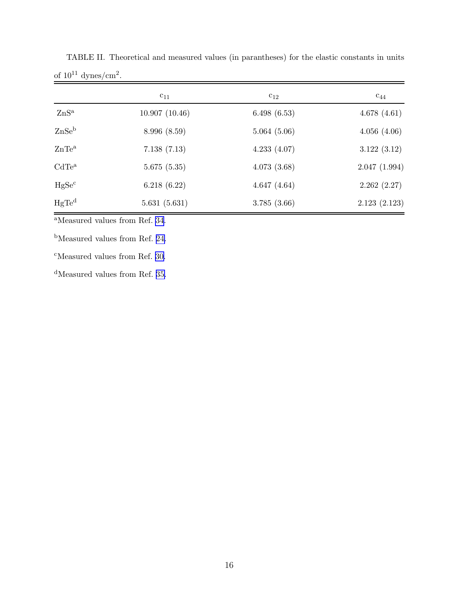|                             | $c_{11}$      | $c_{12}$    | $C_{44}$     |
|-----------------------------|---------------|-------------|--------------|
| $\mathbf{ZnS}^{\mathrm{a}}$ | 10.907(10.46) | 6.498(6.53) | 4.678(4.61)  |
| $\rm ZnSe^b$                | 8.996(8.59)   | 5.064(5.06) | 4.056(4.06)  |
| $\rm ZnTe^a$                | 7.138(7.13)   | 4.233(4.07) | 3.122(3.12)  |
| CdTe <sup>a</sup>           | 5.675(5.35)   | 4.073(3.68) | 2.047(1.994) |
| HgSe <sup>c</sup>           | 6.218(6.22)   | 4.647(4.64) | 2.262(2.27)  |
| HgTe <sup>d</sup>           | 5.631(5.631)  | 3.785(3.66) | 2.123(2.123) |

TABLE II. Theoretical and measured values (in parantheses) for the elastic constants in units of  $10^{11}$  dynes/cm<sup>2</sup>.

<sup>a</sup>Measured values from Ref. [34](#page-12-0).

<sup>b</sup>Measured values from Ref. [24.](#page-12-0)

<sup>c</sup>Measured values from Ref. [30.](#page-12-0)

<sup>d</sup>Measured values from Ref. [35.](#page-12-0)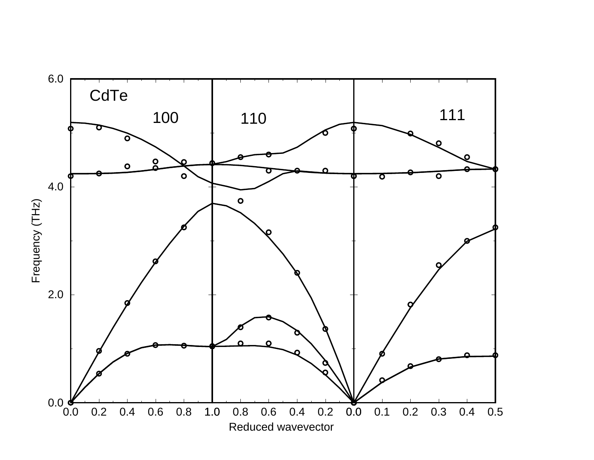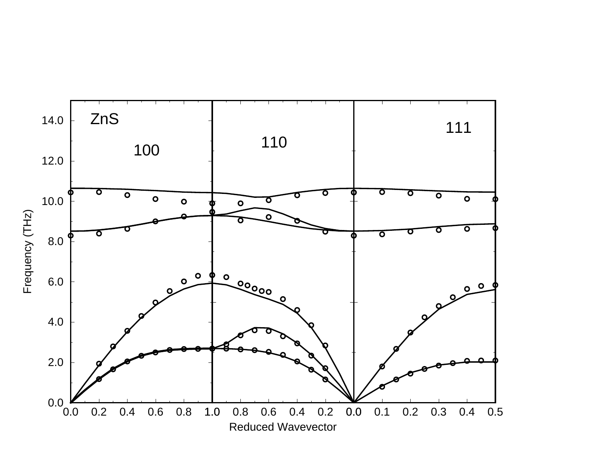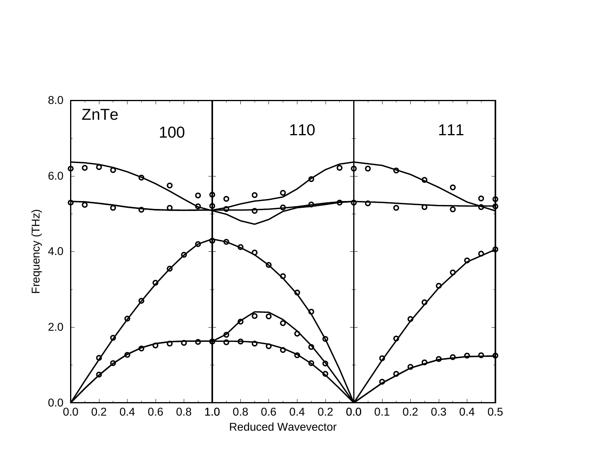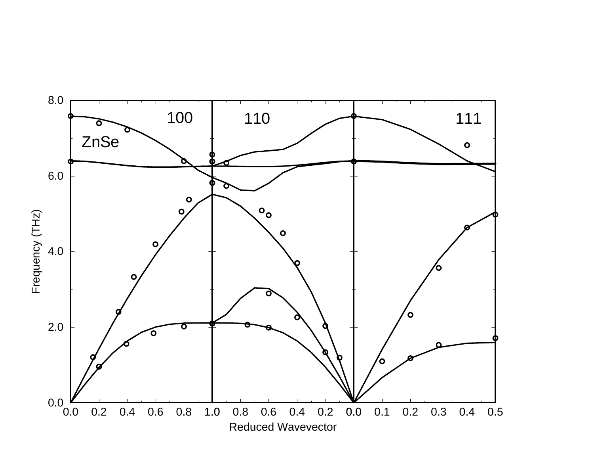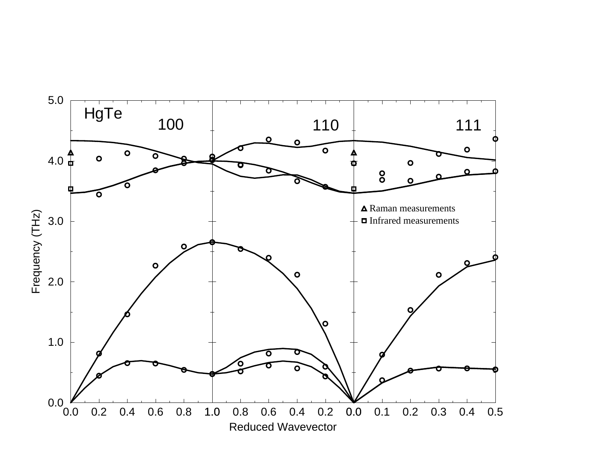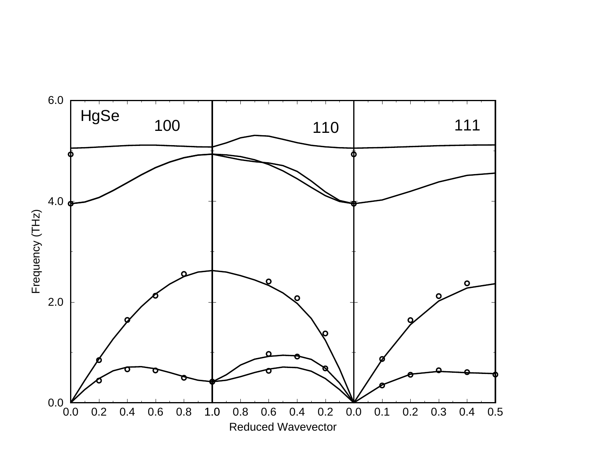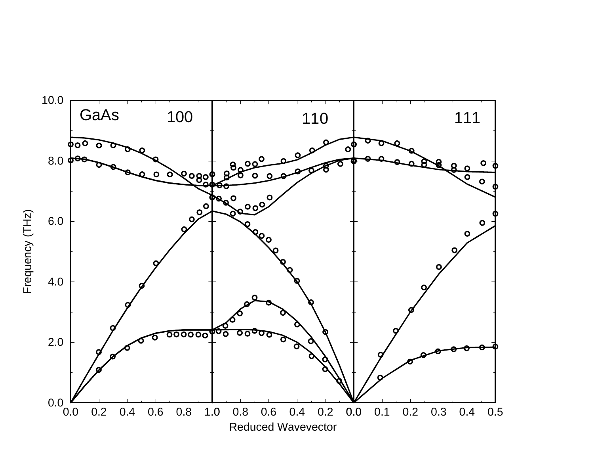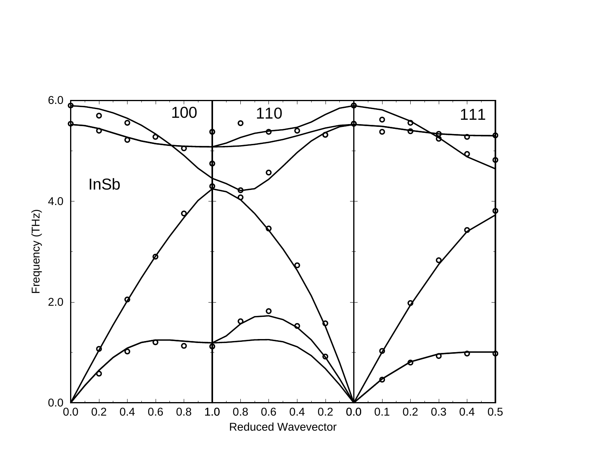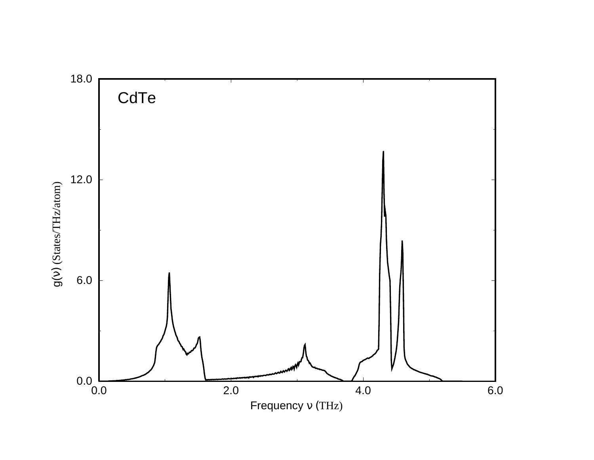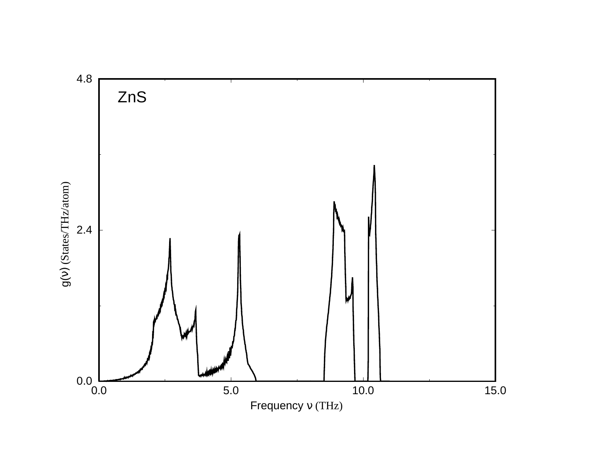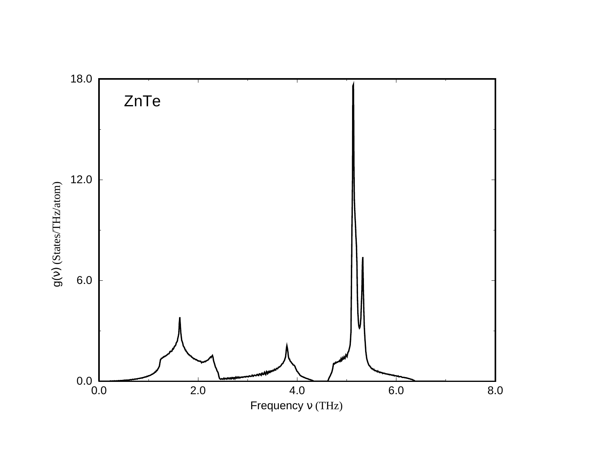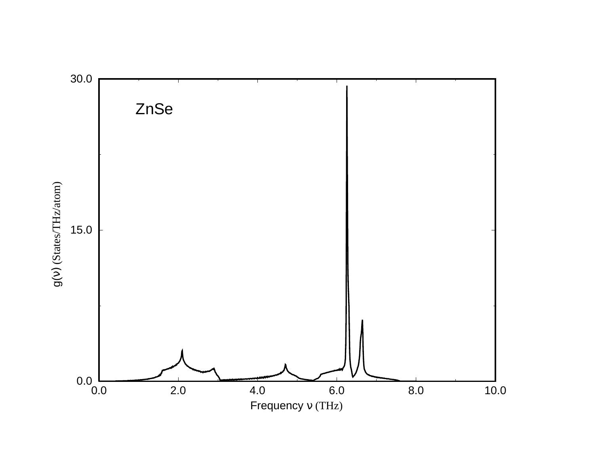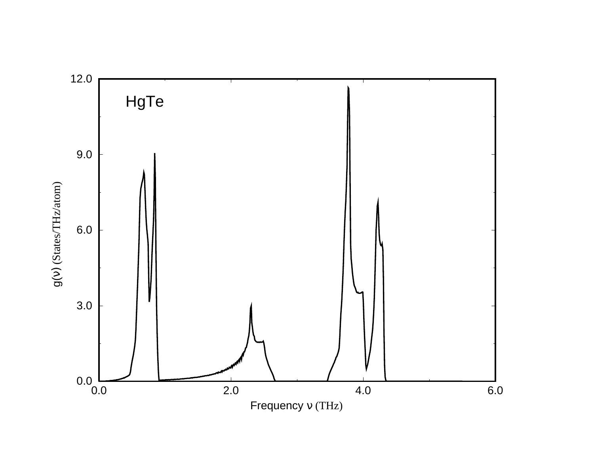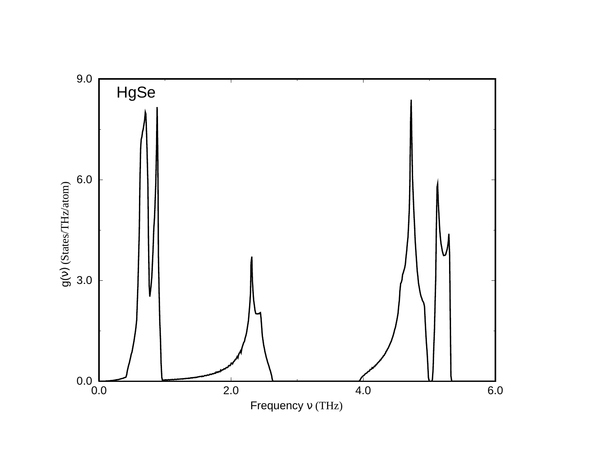